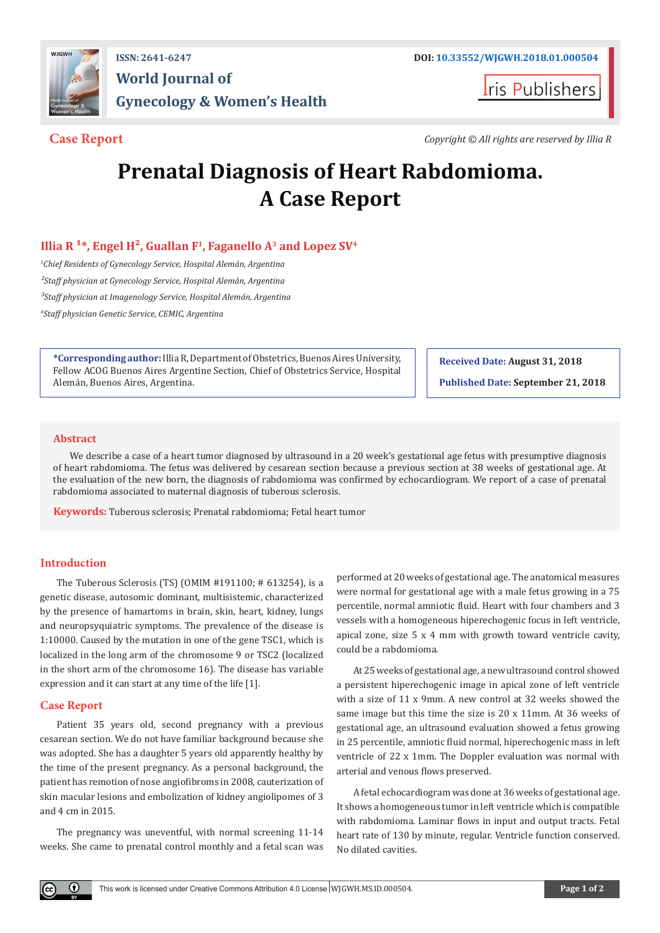

# **World Journal of Gynecology & Women's Health**

**Iris Publishers** 

**Case Report** *Copyright © All rights are reserved by Illia R*

## **Prenatal Diagnosis of Heart Rabdomioma. A Case Report**

### **Illia R**  $1*$ , Engel H<sup>2</sup>, Guallan F<sup>1</sup>, Faganello A<sup>3</sup> and Lopez SV<sup>4</sup>

*1 Chief Residents of Gynecology Service, Hospital Alemán, Argentina ²Staff physician at Gynecology Service, Hospital Alemán, Argentina ³Staff physician at Imagenology Service, Hospital Alemán, Argentina 4 Staff physician Genetic Service, CEMIC, Argentina*

**\*Corresponding author:** Illia R, Department of Obstetrics, Buenos Aires University, Fellow ACOG Buenos Aires Argentine Section, Chief of Obstetrics Service, Hospital Alemán, Buenos Aires, Argentina.

**Received Date: August 31, 2018 Published Date: September 21, 2018**

#### **Abstract**

We describe a case of a heart tumor diagnosed by ultrasound in a 20 week's gestational age fetus with presumptive diagnosis of heart rabdomioma. The fetus was delivered by cesarean section because a previous section at 38 weeks of gestational age. At the evaluation of the new born, the diagnosis of rabdomioma was confirmed by echocardiogram. We report of a case of prenatal rabdomioma associated to maternal diagnosis of tuberous sclerosis.

**Keywords:** Tuberous sclerosis; Prenatal rabdomioma; Fetal heart tumor

### **Introduction**

The Tuberous Sclerosis (TS) (OMIM #191100; # 613254), is a genetic disease, autosomic dominant, multisistemic, characterized by the presence of hamartoms in brain, skin, heart, kidney, lungs and neuropsyquiatric symptoms. The prevalence of the disease is 1:10000. Caused by the mutation in one of the gene TSC1, which is localized in the long arm of the chromosome 9 or TSC2 (localized in the short arm of the chromosome 16). The disease has variable expression and it can start at any time of the life [1].

#### **Case Report**

Patient 35 years old, second pregnancy with a previous cesarean section. We do not have familiar background because she was adopted. She has a daughter 5 years old apparently healthy by the time of the present pregnancy. As a personal background, the patient has remotion of nose angiofibroms in 2008, cauterization of skin macular lesions and embolization of kidney angiolipomes of 3 and 4 cm in 2015.

The pregnancy was uneventful, with normal screening 11-14 weeks. She came to prenatal control monthly and a fetal scan was performed at 20 weeks of gestational age. The anatomical measures were normal for gestational age with a male fetus growing in a 75 percentile, normal amniotic fluid. Heart with four chambers and 3 vessels with a homogeneous hiperechogenic focus in left ventricle, apical zone, size 5 x 4 mm with growth toward ventricle cavity, could be a rabdomioma.

At 25 weeks of gestational age, a new ultrasound control showed a persistent hiperechogenic image in apical zone of left ventricle with a size of 11 x 9mm. A new control at 32 weeks showed the same image but this time the size is 20 x 11mm. At 36 weeks of gestational age, an ultrasound evaluation showed a fetus growing in 25 percentile, amniotic fluid normal, hiperechogenic mass in left ventricle of 22 x 1mm. The Doppler evaluation was normal with arterial and venous flows preserved.

A fetal echocardiogram was done at 36 weeks of gestational age. It shows a homogeneous tumor in left ventricle which is compatible with rabdomioma. Laminar flows in input and output tracts. Fetal heart rate of 130 by minute, regular. Ventricle function conserved. No dilated cavities.